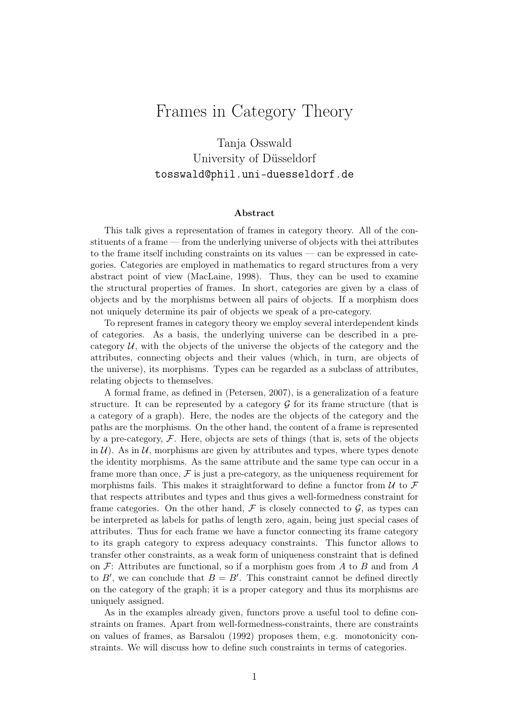## Frames in Category Theory

## Tanja Osswald University of Düsseldorf tosswald@phil.uni-duesseldorf.de

## Abstract

This talk gives a representation of frames in category theory. All of the constituents of a frame — from the underlying universe of objects with thei attributes to the frame itself including constraints on its values — can be expressed in categories. Categories are employed in mathematics to regard structures from a very abstract point of view (MacLaine, 1998). Thus, they can be used to examine the structural properties of frames. In short, categories are given by a class of objects and by the morphisms between all pairs of objects. If a morphism does not uniquely determine its pair of objects we speak of a pre-category.

To represent frames in category theory we employ several interdependent kinds of categories. As a basis, the underlying universe can be described in a precategory  $U$ , with the objects of the universe the objects of the category and the attributes, connecting objects and their values (which, in turn, are objects of the universe), its morphisms. Types can be regarded as a subclass of attributes, relating objects to themselves.

A formal frame, as defined in (Petersen, 2007), is a generalization of a feature structure. It can be represented by a category  $\mathcal G$  for its frame structure (that is a category of a graph). Here, the nodes are the objects of the category and the paths are the morphisms. On the other hand, the content of a frame is represented by a pre-category,  $\mathcal F$ . Here, objects are sets of things (that is, sets of the objects in  $\mathcal{U}$ ). As in  $\mathcal{U}$ , morphisms are given by attributes and types, where types denote the identity morphisms. As the same attribute and the same type can occur in a frame more than once,  $\mathcal F$  is just a pre-category, as the uniqueness requirement for morphisms fails. This makes it straightforward to define a functor from  $\mathcal U$  to  $\mathcal F$ that respects attributes and types and thus gives a well-formedness constraint for frame categories. On the other hand,  $\mathcal F$  is closely connected to  $\mathcal G$ , as types can be interpreted as labels for paths of length zero, again, being just special cases of attributes. Thus for each frame we have a functor connecting its frame category to its graph category to express adequacy constraints. This functor allows to transfer other constraints, as a weak form of uniqueness constraint that is defined on  $\mathcal{F}$ : Attributes are functional, so if a morphism goes from A to B and from A to B', we can conclude that  $B = B'$ . This constraint cannot be defined directly on the category of the graph; it is a proper category and thus its morphisms are uniquely assigned.

As in the examples already given, functors prove a useful tool to define constraints on frames. Apart from well-formedness-constraints, there are constraints on values of frames, as Barsalou (1992) proposes them, e.g. monotonicity constraints. We will discuss how to define such constraints in terms of categories.